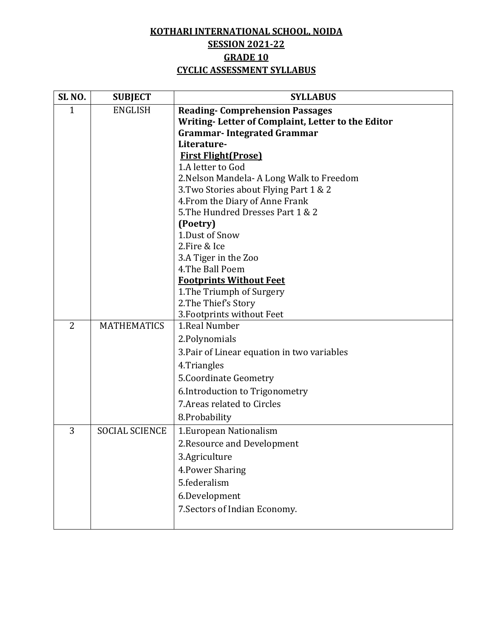## **KOTHARI INTERNATIONAL SCHOOL, NOIDA SESSION 2021-22 GRADE 10 CYCLIC ASSESSMENT SYLLABUS**

| SL <sub>NO.</sub> | <b>SUBJECT</b>        | <b>SYLLABUS</b>                                   |
|-------------------|-----------------------|---------------------------------------------------|
| $\mathbf{1}$      | <b>ENGLISH</b>        | <b>Reading-Comprehension Passages</b>             |
|                   |                       | Writing-Letter of Complaint, Letter to the Editor |
|                   |                       | <b>Grammar-Integrated Grammar</b>                 |
|                   |                       | Literature-                                       |
|                   |                       | <b>First Flight (Prose)</b>                       |
|                   |                       | 1.A letter to God                                 |
|                   |                       | 2. Nelson Mandela - A Long Walk to Freedom        |
|                   |                       | 3. Two Stories about Flying Part 1 & 2            |
|                   |                       | 4. From the Diary of Anne Frank                   |
|                   |                       | 5. The Hundred Dresses Part 1 & 2                 |
|                   |                       | (Poetry)<br>1.Dust of Snow                        |
|                   |                       | 2.Fire & Ice                                      |
|                   |                       | 3.A Tiger in the Zoo                              |
|                   |                       | 4. The Ball Poem                                  |
|                   |                       | <b>Footprints Without Feet</b>                    |
|                   |                       | 1. The Triumph of Surgery                         |
|                   |                       | 2. The Thief's Story                              |
|                   |                       | 3. Footprints without Feet                        |
| $\overline{2}$    | <b>MATHEMATICS</b>    | 1.Real Number                                     |
|                   |                       | 2. Polynomials                                    |
|                   |                       | 3. Pair of Linear equation in two variables       |
|                   |                       | 4.Triangles                                       |
|                   |                       | 5. Coordinate Geometry                            |
|                   |                       | 6. Introduction to Trigonometry                   |
|                   |                       | 7. Areas related to Circles                       |
|                   |                       | 8.Probability                                     |
| 3                 | <b>SOCIAL SCIENCE</b> | 1. European Nationalism                           |
|                   |                       | 2. Resource and Development                       |
|                   |                       | 3.Agriculture                                     |
|                   |                       | 4. Power Sharing                                  |
|                   |                       | 5.federalism                                      |
|                   |                       | 6.Development                                     |
|                   |                       | 7. Sectors of Indian Economy.                     |
|                   |                       |                                                   |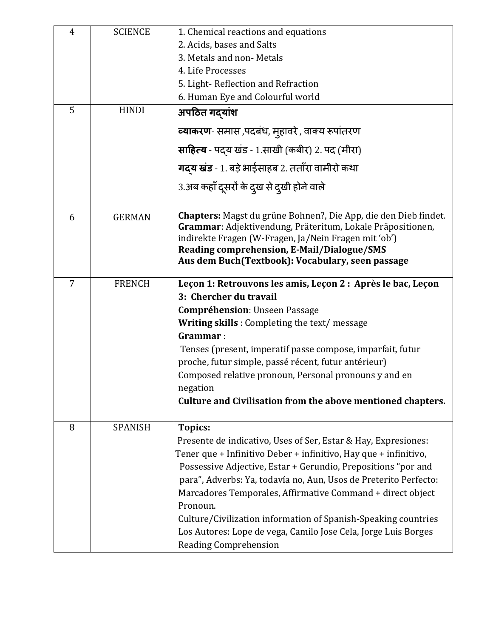| $\overline{4}$<br>5 | <b>SCIENCE</b><br><b>HINDI</b> | 1. Chemical reactions and equations<br>2. Acids, bases and Salts<br>3. Metals and non-Metals<br>4. Life Processes<br>5. Light-Reflection and Refraction<br>6. Human Eye and Colourful world<br>अपठित गद्यांश<br>व्याकरण- समास ,पदबंध, मुहावरे , वाक्य रूपांतरण<br>साहित्य - पदय खंड - 1.साखी (कबीर) 2. पद (मीरा)                                                                                                                                                                                                          |
|---------------------|--------------------------------|---------------------------------------------------------------------------------------------------------------------------------------------------------------------------------------------------------------------------------------------------------------------------------------------------------------------------------------------------------------------------------------------------------------------------------------------------------------------------------------------------------------------------|
|                     |                                | <b>गद्य खंड</b> - 1. बड़े भाईसाहब 2. तताँरा वामीरो कथा<br>3.अब कहाँ दूसरों के दुख से दुखी होने वाले                                                                                                                                                                                                                                                                                                                                                                                                                       |
| 6                   | <b>GERMAN</b>                  | <b>Chapters:</b> Magst du grüne Bohnen?, Die App, die den Dieb findet.<br>Grammar: Adjektivendung, Präteritum, Lokale Präpositionen,<br>indirekte Fragen (W-Fragen, Ja/Nein Fragen mit 'ob')<br>Reading comprehension, E-Mail/Dialogue/SMS<br>Aus dem Buch (Textbook): Vocabulary, seen passage                                                                                                                                                                                                                           |
| $\overline{7}$      | <b>FRENCH</b>                  | Leçon 1: Retrouvons les amis, Leçon 2 : Après le bac, Leçon<br>3: Chercher du travail<br><b>Compréhension</b> : Unseen Passage<br><b>Writing skills:</b> Completing the text/message<br>Grammar:<br>Tenses (present, imperatif passe compose, imparfait, futur<br>proche, futur simple, passé récent, futur antérieur)<br>Composed relative pronoun, Personal pronouns y and en<br>negation<br>Culture and Civilisation from the above mentioned chapters.                                                                |
| 8                   | <b>SPANISH</b>                 | Topics:<br>Presente de indicativo, Uses of Ser, Estar & Hay, Expresiones:<br>Tener que + Infinitivo Deber + infinitivo, Hay que + infinitivo,<br>Possessive Adjective, Estar + Gerundio, Prepositions "por and<br>para", Adverbs: Ya, todavía no, Aun, Usos de Preterito Perfecto:<br>Marcadores Temporales, Affirmative Command + direct object<br>Pronoun.<br>Culture/Civilization information of Spanish-Speaking countries<br>Los Autores: Lope de vega, Camilo Jose Cela, Jorge Luis Borges<br>Reading Comprehension |